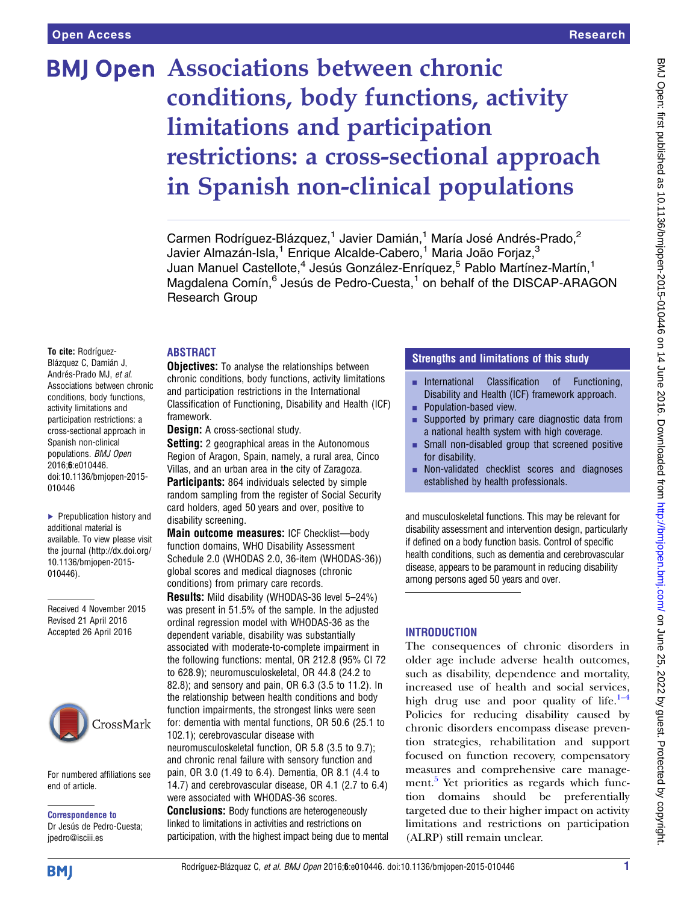# **BMJ Open Associations between chronic** conditions, body functions, activity limitations and participation restrictions: a cross-sectional approach in Spanish non-clinical populations

Carmen Rodríguez-Blázquez,<sup>1</sup> Javier Damián,<sup>1</sup> María José Andrés-Prado,<sup>2</sup> Javier Almazán-Isla,<sup>1</sup> Enrique Alcalde-Cabero,<sup>1</sup> Maria João Forjaz,<sup>3</sup> Juan Manuel Castellote,<sup>4</sup> Jesús González-Enríquez,<sup>5</sup> Pablo Martínez-Martín,<sup>1</sup> Magdalena Comín,<sup>6</sup> Jesús de Pedro-Cuesta,<sup>1</sup> on behalf of the DISCAP-ARAGON Research Group

#### ABSTRACT

To cite: Rodríguez-Blázquez C, Damián J, Andrés-Prado MJ, et al. Associations between chronic conditions, body functions, activity limitations and participation restrictions: a cross-sectional approach in Spanish non-clinical populations. BMJ Open 2016;6:e010446. doi:10.1136/bmjopen-2015- 010446

▶ Prepublication history and additional material is available. To view please visit the journal [\(http://dx.doi.org/](http://dx.doi.org/10.1136/bmjopen-2015-010446) [10.1136/bmjopen-2015-](http://dx.doi.org/10.1136/bmjopen-2015-010446) [010446\)](http://dx.doi.org/10.1136/bmjopen-2015-010446).

Received 4 November 2015 Revised 21 April 2016 Accepted 26 April 2016



For numbered affiliations see end of article.

Correspondence to Dr Jesús de Pedro-Cuesta; jpedro@isciii.es

**Objectives:** To analyse the relationships between chronic conditions, body functions, activity limitations and participation restrictions in the International Classification of Functioning, Disability and Health (ICF) framework.

**Design:** A cross-sectional study.

**Setting:** 2 geographical areas in the Autonomous Region of Aragon, Spain, namely, a rural area, Cinco Villas, and an urban area in the city of Zaragoza.

**Participants:** 864 individuals selected by simple random sampling from the register of Social Security card holders, aged 50 years and over, positive to disability screening.

Main outcome measures: ICF Checklist—body function domains, WHO Disability Assessment Schedule 2.0 (WHODAS 2.0, 36-item (WHODAS-36)) global scores and medical diagnoses (chronic conditions) from primary care records.

Results: Mild disability (WHODAS-36 level 5–24%) was present in 51.5% of the sample. In the adjusted ordinal regression model with WHODAS-36 as the dependent variable, disability was substantially associated with moderate-to-complete impairment in the following functions: mental, OR 212.8 (95% CI 72 to 628.9); neuromusculoskeletal, OR 44.8 (24.2 to 82.8); and sensory and pain, OR 6.3 (3.5 to 11.2). In the relationship between health conditions and body function impairments, the strongest links were seen for: dementia with mental functions, OR 50.6 (25.1 to 102.1); cerebrovascular disease with neuromusculoskeletal function, OR 5.8 (3.5 to 9.7); and chronic renal failure with sensory function and pain, OR 3.0 (1.49 to 6.4). Dementia, OR 8.1 (4.4 to 14.7) and cerebrovascular disease, OR 4.1 (2.7 to 6.4) were associated with WHODAS-36 scores. **Conclusions:** Body functions are heterogeneously

linked to limitations in activities and restrictions on participation, with the highest impact being due to mental

# Strengths and limitations of this study

- **EXECUTE:** International Classification of Functioning, Disability and Health (ICF) framework approach.
- Population-based view.
- Supported by primary care diagnostic data from a national health system with high coverage.
- $\blacksquare$  Small non-disabled group that screened positive for disability.
- Non-validated checklist scores and diagnoses established by health professionals.

and musculoskeletal functions. This may be relevant for disability assessment and intervention design, particularly if defined on a body function basis. Control of specific health conditions, such as dementia and cerebrovascular disease, appears to be paramount in reducing disability among persons aged 50 years and over.

# **INTRODUCTION**

The consequences of chronic disorders in older age include adverse health outcomes, such as disability, dependence and mortality, increased use of health and social services, high drug use and poor quality of life. $1-4$ Policies for reducing disability caused by chronic disorders encompass disease prevention strategies, rehabilitation and support focused on function recovery, compensatory measures and comprehensive care manage-ment.<sup>[5](#page-8-0)</sup> Yet priorities as regards which function domains should be preferentially targeted due to their higher impact on activity limitations and restrictions on participation (ALRP) still remain unclear.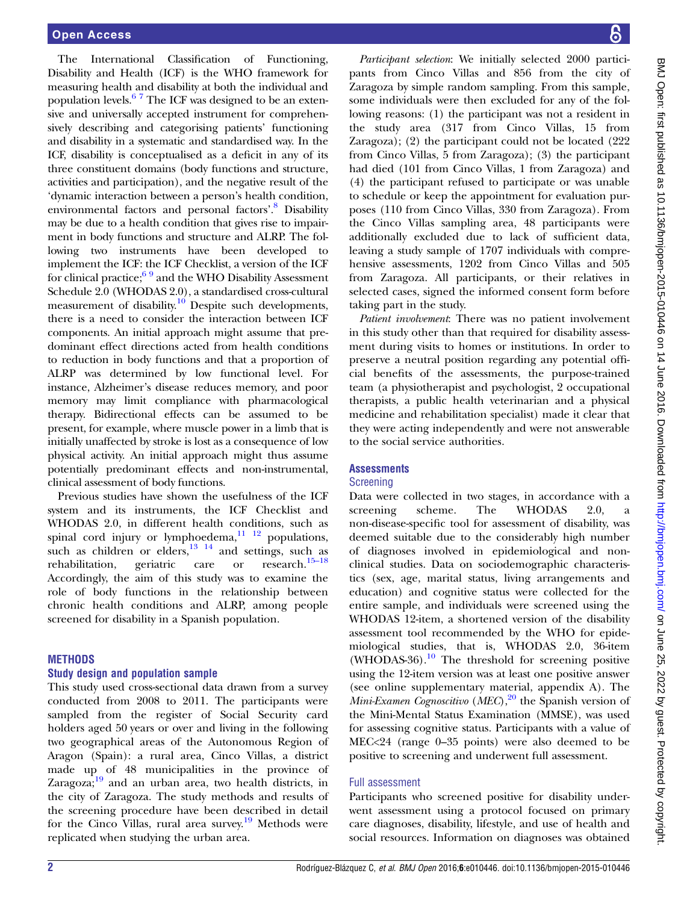The International Classification of Functioning, Disability and Health (ICF) is the WHO framework for measuring health and disability at both the individual and population levels. $67$  The ICF was designed to be an extensive and universally accepted instrument for comprehensively describing and categorising patients' functioning and disability in a systematic and standardised way. In the ICF, disability is conceptualised as a deficit in any of its three constituent domains (body functions and structure, activities and participation), and the negative result of the 'dynamic interaction between a person's health condition, environmental factors and personal factors'. [8](#page-8-0) Disability may be due to a health condition that gives rise to impairment in body functions and structure and ALRP. The following two instruments have been developed to implement the ICF: the ICF Checklist, a version of the ICF for clinical practice;  $69$  and the WHO Disability Assessment Schedule 2.0 (WHODAS 2.0), a standardised cross-cultural measurement of disability.<sup>10</sup> Despite such developments, there is a need to consider the interaction between ICF components. An initial approach might assume that predominant effect directions acted from health conditions to reduction in body functions and that a proportion of ALRP was determined by low functional level. For instance, Alzheimer's disease reduces memory, and poor memory may limit compliance with pharmacological therapy. Bidirectional effects can be assumed to be present, for example, where muscle power in a limb that is initially unaffected by stroke is lost as a consequence of low physical activity. An initial approach might thus assume potentially predominant effects and non-instrumental, clinical assessment of body functions.

Previous studies have shown the usefulness of the ICF system and its instruments, the ICF Checklist and WHODAS 2.0, in different health conditions, such as spinal cord injury or lymphoedema, $\frac{11}{12}$  populations, such as children or elders,  $^{13}$   $^{14}$  and settings, such as rehabilitation, geriatric care or research.  $^{15-18}$ rehabilitation, geriatric care or research.[15](#page-8-0)–<sup>18</sup> Accordingly, the aim of this study was to examine the role of body functions in the relationship between chronic health conditions and ALRP, among people screened for disability in a Spanish population.

#### **METHODS**

#### Study design and population sample

This study used cross-sectional data drawn from a survey conducted from 2008 to 2011. The participants were sampled from the register of Social Security card holders aged 50 years or over and living in the following two geographical areas of the Autonomous Region of Aragon (Spain): a rural area, Cinco Villas, a district made up of 48 municipalities in the province of Zaragoza; $19$  and an urban area, two health districts, in the city of Zaragoza. The study methods and results of the screening procedure have been described in detail for the Cinco Villas, rural area survey.<sup>19</sup> Methods were replicated when studying the urban area.

Participant selection: We initially selected 2000 participants from Cinco Villas and 856 from the city of Zaragoza by simple random sampling. From this sample, some individuals were then excluded for any of the following reasons: (1) the participant was not a resident in the study area (317 from Cinco Villas, 15 from Zaragoza); (2) the participant could not be located (222 from Cinco Villas, 5 from Zaragoza); (3) the participant had died (101 from Cinco Villas, 1 from Zaragoza) and (4) the participant refused to participate or was unable to schedule or keep the appointment for evaluation purposes (110 from Cinco Villas, 330 from Zaragoza). From the Cinco Villas sampling area, 48 participants were additionally excluded due to lack of sufficient data, leaving a study sample of 1707 individuals with comprehensive assessments, 1202 from Cinco Villas and 505 from Zaragoza. All participants, or their relatives in selected cases, signed the informed consent form before taking part in the study.

Patient involvement: There was no patient involvement in this study other than that required for disability assessment during visits to homes or institutions. In order to preserve a neutral position regarding any potential official benefits of the assessments, the purpose-trained team (a physiotherapist and psychologist, 2 occupational therapists, a public health veterinarian and a physical medicine and rehabilitation specialist) made it clear that they were acting independently and were not answerable to the social service authorities.

# **Assessments**

# Screening

Data were collected in two stages, in accordance with a screening scheme. The WHODAS 2.0, a non-disease-specific tool for assessment of disability, was deemed suitable due to the considerably high number of diagnoses involved in epidemiological and nonclinical studies. Data on sociodemographic characteristics (sex, age, marital status, living arrangements and education) and cognitive status were collected for the entire sample, and individuals were screened using the WHODAS 12-item, a shortened version of the disability assessment tool recommended by the WHO for epidemiological studies, that is, WHODAS 2.0, 36-item (WHODAS-36).<sup>[10](#page-8-0)</sup> The threshold for screening positive using the 12-item version was at least one positive answer (see online supplementary material, appendix A). The *Mini-Examen Cognoscitivo* (*MEC*),<sup>20</sup> the Spanish version of the Mini-Mental Status Examination (MMSE), was used for assessing cognitive status. Participants with a value of MEC<24 (range 0–35 points) were also deemed to be positive to screening and underwent full assessment.

# Full assessment

Participants who screened positive for disability underwent assessment using a protocol focused on primary care diagnoses, disability, lifestyle, and use of health and social resources. Information on diagnoses was obtained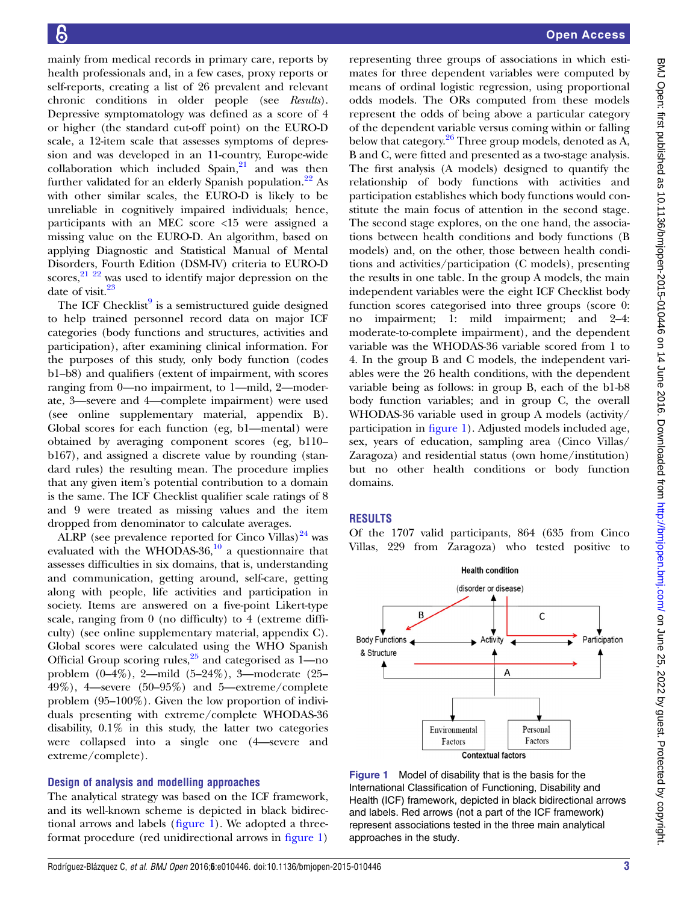<span id="page-2-0"></span>mainly from medical records in primary care, reports by health professionals and, in a few cases, proxy reports or self-reports, creating a list of 26 prevalent and relevant chronic conditions in older people (see Results). Depressive symptomatology was defined as a score of 4 or higher (the standard cut-off point) on the EURO-D scale, a 12-item scale that assesses symptoms of depression and was developed in an 11-country, Europe-wide collaboration which included  $Span<sub>1</sub><sup>21</sup>$  $Span<sub>1</sub><sup>21</sup>$  $Span<sub>1</sub><sup>21</sup>$  and was then further validated for an elderly Spanish population.<sup>[22](#page-8-0)</sup> As with other similar scales, the EURO-D is likely to be unreliable in cognitively impaired individuals; hence, participants with an MEC score <15 were assigned a missing value on the EURO-D. An algorithm, based on applying Diagnostic and Statistical Manual of Mental Disorders, Fourth Edition (DSM-IV) criteria to EURO-D scores, $2^{122}$  was used to identify major depression on the date of visit. $23$ 

The ICF Checklist $9$  is a semistructured guide designed to help trained personnel record data on major ICF categories (body functions and structures, activities and participation), after examining clinical information. For the purposes of this study, only body function (codes b1–b8) and qualifiers (extent of impairment, with scores ranging from 0—no impairment, to 1—mild, 2—moderate, 3—severe and 4—complete impairment) were used (see online supplementary material, appendix B). Global scores for each function (eg, b1—mental) were obtained by averaging component scores (eg, b110– b167), and assigned a discrete value by rounding (standard rules) the resulting mean. The procedure implies that any given item's potential contribution to a domain is the same. The ICF Checklist qualifier scale ratings of 8 and 9 were treated as missing values and the item dropped from denominator to calculate averages.

ALRP (see prevalence reported for Cinco Villas) $^{24}$  $^{24}$  $^{24}$  was evaluated with the WHODAS-36, $^{10}$  $^{10}$  $^{10}$  a questionnaire that assesses difficulties in six domains, that is, understanding and communication, getting around, self-care, getting along with people, life activities and participation in society. Items are answered on a five-point Likert-type scale, ranging from 0 (no difficulty) to 4 (extreme difficulty) (see online supplementary material, appendix C). Global scores were calculated using the WHO Spanish Official Group scoring rules, $25$  and categorised as 1—no problem (0–4%), 2—mild (5–24%), 3—moderate (25– 49%), 4—severe (50–95%) and 5—extreme/complete problem (95–100%). Given the low proportion of individuals presenting with extreme/complete WHODAS-36 disability, 0.1% in this study, the latter two categories were collapsed into a single one (4—severe and extreme/complete).

#### Design of analysis and modelling approaches

The analytical strategy was based on the ICF framework, and its well-known scheme is depicted in black bidirectional arrows and labels (figure 1). We adopted a threeformat procedure (red unidirectional arrows in figure 1)

representing three groups of associations in which estimates for three dependent variables were computed by means of ordinal logistic regression, using proportional odds models. The ORs computed from these models represent the odds of being above a particular category of the dependent variable versus coming within or falling below that category.<sup>26</sup> Three group models, denoted as  $\overrightarrow{A}$ , B and C, were fitted and presented as a two-stage analysis. The first analysis (A models) designed to quantify the relationship of body functions with activities and participation establishes which body functions would constitute the main focus of attention in the second stage. The second stage explores, on the one hand, the associations between health conditions and body functions (B models) and, on the other, those between health conditions and activities/participation (C models), presenting the results in one table. In the group A models, the main independent variables were the eight ICF Checklist body function scores categorised into three groups (score 0: no impairment; 1: mild impairment; and 2–4: moderate-to-complete impairment), and the dependent variable was the WHODAS-36 variable scored from 1 to 4. In the group B and C models, the independent variables were the 26 health conditions, with the dependent variable being as follows: in group B, each of the b1-b8 body function variables; and in group C, the overall WHODAS-36 variable used in group A models (activity/ participation in figure 1). Adjusted models included age, sex, years of education, sampling area (Cinco Villas/ Zaragoza) and residential status (own home/institution) but no other health conditions or body function domains.

# **RESULTS**

Of the 1707 valid participants, 864 (635 from Cinco Villas, 229 from Zaragoza) who tested positive to



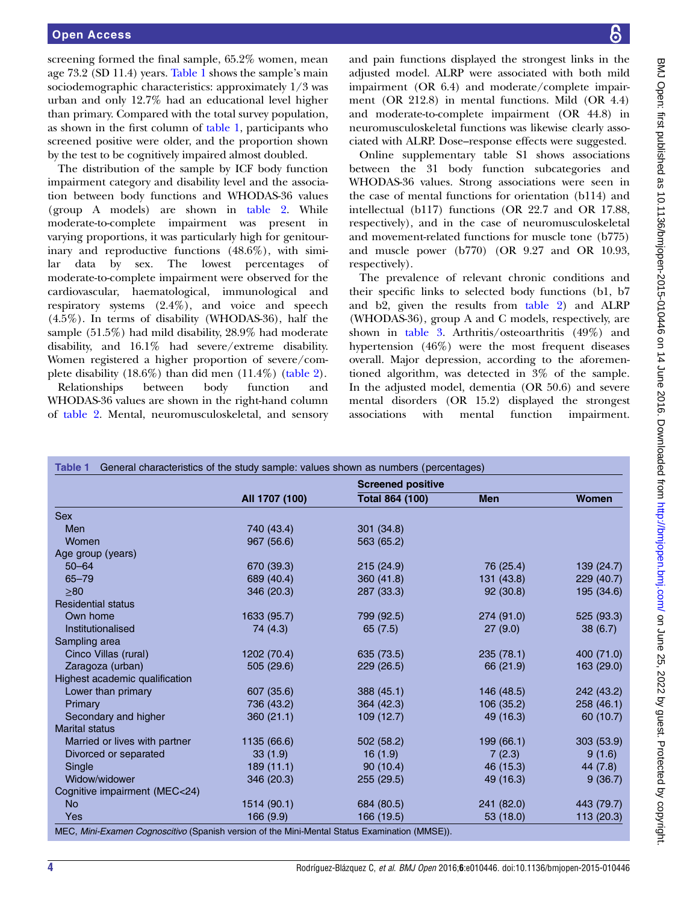screening formed the final sample, 65.2% women, mean age 73.2 (SD 11.4) years. Table 1 shows the sample's main sociodemographic characteristics: approximately 1/3 was urban and only 12.7% had an educational level higher than primary. Compared with the total survey population, as shown in the first column of table 1, participants who screened positive were older, and the proportion shown by the test to be cognitively impaired almost doubled.

The distribution of the sample by ICF body function impairment category and disability level and the association between body functions and WHODAS-36 values (group A models) are shown in [table 2.](#page-4-0) While moderate-to-complete impairment was present in varying proportions, it was particularly high for genitourinary and reproductive functions (48.6%), with similar data by sex. The lowest percentages of moderate-to-complete impairment were observed for the cardiovascular, haematological, immunological and respiratory systems (2.4%), and voice and speech (4.5%). In terms of disability (WHODAS-36), half the sample (51.5%) had mild disability, 28.9% had moderate disability, and 16.1% had severe/extreme disability. Women registered a higher proportion of severe/complete disability  $(18.6\%)$  than did men  $(11.4\%)$  [\(table 2](#page-4-0)).

Relationships between body function and WHODAS-36 values are shown in the right-hand column of [table 2](#page-4-0). Mental, neuromusculoskeletal, and sensory

and pain functions displayed the strongest links in the adjusted model. ALRP were associated with both mild impairment (OR 6.4) and moderate/complete impairment (OR 212.8) in mental functions. Mild (OR 4.4) and moderate-to-complete impairment (OR 44.8) in neuromusculoskeletal functions was likewise clearly associated with ALRP. Dose–response effects were suggested.

Online [supplementary table](http://dx.doi.org/10.1136/bmjopen-2015-010446) S1 shows associations between the 31 body function subcategories and WHODAS-36 values. Strong associations were seen in the case of mental functions for orientation (b114) and intellectual (b117) functions (OR 22.7 and OR 17.88, respectively), and in the case of neuromusculoskeletal and movement-related functions for muscle tone (b775) and muscle power (b770) (OR 9.27 and OR 10.93, respectively).

The prevalence of relevant chronic conditions and their specific links to selected body functions (b1, b7 and b2, given the results from [table 2](#page-4-0)) and ALRP (WHODAS-36), group A and C models, respectively, are shown in [table 3.](#page-5-0) Arthritis/osteoarthritis (49%) and hypertension (46%) were the most frequent diseases overall. Major depression, according to the aforementioned algorithm, was detected in 3% of the sample. In the adjusted model, dementia (OR 50.6) and severe mental disorders (OR 15.2) displayed the strongest associations with mental function impairment.

|                                |                | <b>Screened positive</b> |            |            |
|--------------------------------|----------------|--------------------------|------------|------------|
|                                | All 1707 (100) | Total 864 (100)          | <b>Men</b> | Women      |
| <b>Sex</b>                     |                |                          |            |            |
| Men                            | 740 (43.4)     | 301 (34.8)               |            |            |
| Women                          | 967 (56.6)     | 563 (65.2)               |            |            |
| Age group (years)              |                |                          |            |            |
| $50 - 64$                      | 670 (39.3)     | 215(24.9)                | 76 (25.4)  | 139 (24.7) |
| $65 - 79$                      | 689 (40.4)     | 360 (41.8)               | 131 (43.8) | 229(40.7)  |
| >80                            | 346 (20.3)     | 287 (33.3)               | 92(30.8)   | 195 (34.6) |
| <b>Residential status</b>      |                |                          |            |            |
| Own home                       | 1633 (95.7)    | 799 (92.5)               | 274 (91.0) | 525 (93.3) |
| Institutionalised              | 74 (4.3)       | 65 $(7.5)$               | 27(9.0)    | 38(6.7)    |
| Sampling area                  |                |                          |            |            |
| Cinco Villas (rural)           | 1202 (70.4)    | 635 (73.5)               | 235(78.1)  | 400 (71.0) |
| Zaragoza (urban)               | 505 (29.6)     | 229 (26.5)               | 66 (21.9)  | 163 (29.0) |
| Highest academic qualification |                |                          |            |            |
| Lower than primary             | 607 (35.6)     | 388 (45.1)               | 146 (48.5) | 242 (43.2) |
| Primary                        | 736 (43.2)     | 364 (42.3)               | 106 (35.2) | 258 (46.1) |
| Secondary and higher           | 360(21.1)      | 109(12.7)                | 49 (16.3)  | 60 (10.7)  |
| <b>Marital status</b>          |                |                          |            |            |
| Married or lives with partner  | 1135 (66.6)    | 502 (58.2)               | 199 (66.1) | 303 (53.9) |
| Divorced or separated          | 33(1.9)        | 16(1.9)                  | 7(2.3)     | 9(1.6)     |
| Single                         | 189(11.1)      | 90(10.4)                 | 46 (15.3)  | 44 (7.8)   |
| Widow/widower                  | 346 (20.3)     | 255 (29.5)               | 49 (16.3)  | 9(36.7)    |
| Cognitive impairment (MEC<24)  |                |                          |            |            |
| <b>No</b>                      | 1514 (90.1)    | 684 (80.5)               | 241 (82.0) | 443 (79.7) |
| Yes                            | 166(9.9)       | 166 (19.5)               | 53 (18.0)  | 113 (20.3) |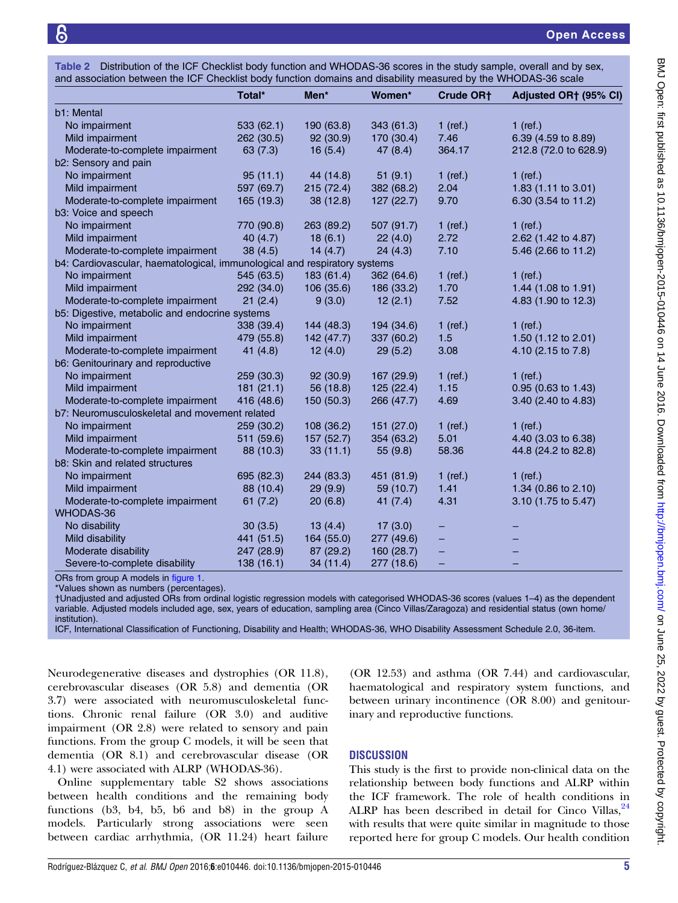<span id="page-4-0"></span>

| Table 2 Distribution of the ICF Checklist body function and WHODAS-36 scores in the study sample, overall and by sex, |  |  |  |
|-----------------------------------------------------------------------------------------------------------------------|--|--|--|
| and association between the ICF Checklist body function domains and disability measured by the WHODAS-36 scale        |  |  |  |

|                                                                           | Total*     | Men*       | Women*     | Crude OR <sub>t</sub>    | Adjusted OR† (95% CI) |
|---------------------------------------------------------------------------|------------|------------|------------|--------------------------|-----------------------|
| b1: Mental                                                                |            |            |            |                          |                       |
| No impairment                                                             | 533(62.1)  | 190 (63.8) | 343(61.3)  | $1$ (ref.)               | $1$ (ref.)            |
| Mild impairment                                                           | 262 (30.5) | 92 (30.9)  | 170 (30.4) | 7.46                     | 6.39 (4.59 to 8.89)   |
| Moderate-to-complete impairment                                           | 63(7.3)    | 16(5.4)    | 47(8.4)    | 364.17                   | 212.8 (72.0 to 628.9) |
| b2: Sensory and pain                                                      |            |            |            |                          |                       |
| No impairment                                                             | 95(11.1)   | 44 (14.8)  | 51(9.1)    | $1$ (ref.)               | $1$ (ref.)            |
| Mild impairment                                                           | 597 (69.7) | 215(72.4)  | 382 (68.2) | 2.04                     | 1.83 (1.11 to 3.01)   |
| Moderate-to-complete impairment                                           | 165 (19.3) | 38 (12.8)  | 127(22.7)  | 9.70                     | 6.30 (3.54 to 11.2)   |
| b3: Voice and speech                                                      |            |            |            |                          |                       |
| No impairment                                                             | 770 (90.8) | 263 (89.2) | 507 (91.7) | $1$ (ref.)               | $1$ (ref.)            |
| Mild impairment                                                           | 40 $(4.7)$ | 18(6.1)    | 22(4.0)    | 2.72                     | 2.62 (1.42 to 4.87)   |
| Moderate-to-complete impairment                                           | 38(4.5)    | 14(4.7)    | 24(4.3)    | 7.10                     | 5.46 (2.66 to 11.2)   |
| b4: Cardiovascular, haematological, immunological and respiratory systems |            |            |            |                          |                       |
| No impairment                                                             | 545 (63.5) | 183 (61.4) | 362 (64.6) | $1$ (ref.)               | $1$ (ref.)            |
| Mild impairment                                                           | 292 (34.0) | 106(35.6)  | 186 (33.2) | 1.70                     | 1.44 (1.08 to 1.91)   |
| Moderate-to-complete impairment                                           | 21(2.4)    | 9(3.0)     | 12(2.1)    | 7.52                     | 4.83 (1.90 to 12.3)   |
| b5: Digestive, metabolic and endocrine systems                            |            |            |            |                          |                       |
| No impairment                                                             | 338 (39.4) | 144 (48.3) | 194 (34.6) | $1$ (ref.)               | $1$ (ref.)            |
| Mild impairment                                                           | 479 (55.8) | 142(47.7)  | 337 (60.2) | 1.5                      | 1.50 (1.12 to 2.01)   |
| Moderate-to-complete impairment                                           | 41 $(4.8)$ | 12(4.0)    | 29(5.2)    | 3.08                     | 4.10 (2.15 to 7.8)    |
| b6: Genitourinary and reproductive                                        |            |            |            |                          |                       |
| No impairment                                                             | 259 (30.3) | 92 (30.9)  | 167 (29.9) | $1$ (ref.)               | $1$ (ref.)            |
| Mild impairment                                                           | 181(21.1)  | 56 (18.8)  | 125(22.4)  | 1.15                     | 0.95 (0.63 to 1.43)   |
| Moderate-to-complete impairment                                           | 416 (48.6) | 150 (50.3) | 266 (47.7) | 4.69                     | 3.40 (2.40 to 4.83)   |
| b7: Neuromusculoskeletal and movement related                             |            |            |            |                          |                       |
| No impairment                                                             | 259 (30.2) | 108 (36.2) | 151 (27.0) | 1 (ref.)                 | $1$ (ref.)            |
| Mild impairment                                                           | 511 (59.6) | 157 (52.7) | 354 (63.2) | 5.01                     | 4.40 (3.03 to 6.38)   |
| Moderate-to-complete impairment                                           | 88 (10.3)  | 33(11.1)   | 55 (9.8)   | 58.36                    | 44.8 (24.2 to 82.8)   |
| b8: Skin and related structures                                           |            |            |            |                          |                       |
| No impairment                                                             | 695 (82.3) | 244 (83.3) | 451 (81.9) | $1$ (ref.)               | 1 (ref.)              |
| Mild impairment                                                           | 88 (10.4)  | 29(9.9)    | 59 (10.7)  | 1.41                     | 1.34 (0.86 to 2.10)   |
| Moderate-to-complete impairment                                           | 61(7.2)    | 20(6.8)    | 41 $(7.4)$ | 4.31                     | 3.10 (1.75 to 5.47)   |
| WHODAS-36                                                                 |            |            |            |                          |                       |
| No disability                                                             | 30(3.5)    | 13(4.4)    | 17(3.0)    |                          |                       |
| Mild disability                                                           | 441 (51.5) | 164 (55.0) | 277 (49.6) | -                        |                       |
| Moderate disability                                                       | 247 (28.9) | 87 (29.2)  | 160 (28.7) | $\overline{\phantom{0}}$ |                       |
| Severe-to-complete disability                                             | 138 (16.1) | 34 (11.4)  | 277 (18.6) |                          |                       |

ORs from group A models in [figure 1](#page-2-0).

\*Values shown as numbers (percentages).

†Unadjusted and adjusted ORs from ordinal logistic regression models with categorised WHODAS-36 scores (values 1–4) as the dependent variable. Adjusted models included age, sex, years of education, sampling area (Cinco Villas/Zaragoza) and residential status (own home/ institution).

ICF, International Classification of Functioning, Disability and Health; WHODAS-36, WHO Disability Assessment Schedule 2.0, 36-item.

Neurodegenerative diseases and dystrophies (OR 11.8), cerebrovascular diseases (OR 5.8) and dementia (OR 3.7) were associated with neuromusculoskeletal functions. Chronic renal failure (OR 3.0) and auditive impairment (OR 2.8) were related to sensory and pain functions. From the group C models, it will be seen that dementia (OR 8.1) and cerebrovascular disease (OR 4.1) were associated with ALRP (WHODAS-36).

Online [supplementary table](http://dx.doi.org/10.1136/bmjopen-2015-010446) S2 shows associations between health conditions and the remaining body functions (b3, b4, b5, b6 and b8) in the group A models. Particularly strong associations were seen between cardiac arrhythmia, (OR 11.24) heart failure

(OR 12.53) and asthma (OR 7.44) and cardiovascular, haematological and respiratory system functions, and between urinary incontinence (OR 8.00) and genitourinary and reproductive functions.

# **DISCUSSION**

This study is the first to provide non-clinical data on the relationship between body functions and ALRP within the ICF framework. The role of health conditions in ALRP has been described in detail for Cinco Villas,  $24$ with results that were quite similar in magnitude to those reported here for group C models. Our health condition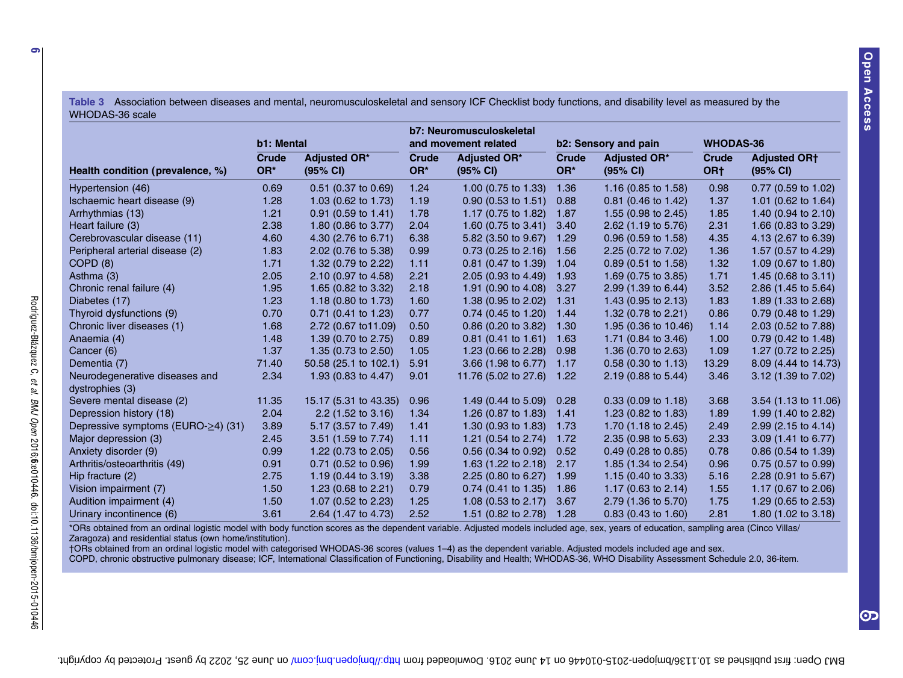<span id="page-5-0"></span>Table 3 Association between diseases and mental, neuromusculoskeletal and sensory ICF Checklist body functions, and disability level as measured by the WHODAS-36 scale

|                                                   | b1: Mental          |                                 | b7: Neuromusculoskeletal<br>and movement related |                                 | b2: Sensory and pain |                                 | <b>WHODAS-36</b>         |                                 |
|---------------------------------------------------|---------------------|---------------------------------|--------------------------------------------------|---------------------------------|----------------------|---------------------------------|--------------------------|---------------------------------|
| Health condition (prevalence, %)                  | <b>Crude</b><br>OR* | <b>Adjusted OR*</b><br>(95% CI) | Crude<br>OR*                                     | <b>Adjusted OR*</b><br>(95% CI) | <b>Crude</b><br>OR*  | <b>Adjusted OR*</b><br>(95% CI) | Crude<br>OR <sub>†</sub> | <b>Adjusted ORT</b><br>(95% CI) |
| Hypertension (46)                                 | 0.69                | $0.51$ (0.37 to 0.69)           | 1.24                                             | 1.00 $(0.75 \text{ to } 1.33)$  | 1.36                 | 1.16 $(0.85 \text{ to } 1.58)$  | 0.98                     | $0.77$ (0.59 to 1.02)           |
| Ischaemic heart disease (9)                       | 1.28                | 1.03 (0.62 to 1.73)             | 1.19                                             | $0.90$ (0.53 to 1.51)           | 0.88                 | $0.81$ (0.46 to 1.42)           | 1.37                     | 1.01 (0.62 to 1.64)             |
| Arrhythmias (13)                                  | 1.21                | $0.91$ (0.59 to 1.41)           | 1.78                                             | 1.17 (0.75 to 1.82)             | 1.87                 | 1.55 $(0.98 \text{ to } 2.45)$  | 1.85                     | 1.40 (0.94 to 2.10)             |
| Heart failure (3)                                 | 2.38                | 1.80 (0.86 to 3.77)             | 2.04                                             | 1.60 $(0.75 \text{ to } 3.41)$  | 3.40                 | 2.62 (1.19 to 5.76)             | 2.31                     | 1.66 (0.83 to 3.29)             |
| Cerebrovascular disease (11)                      | 4.60                | 4.30 (2.76 to 6.71)             | 6.38                                             | 5.82 (3.50 to 9.67)             | 1.29                 | $0.96$ (0.59 to 1.58)           | 4.35                     | 4.13 (2.67 to 6.39)             |
| Peripheral arterial disease (2)                   | 1.83                | 2.02 (0.76 to 5.38)             | 0.99                                             | $0.73$ (0.25 to 2.16)           | 1.56                 | 2.25 (0.72 to 7.02)             | 1.36                     | 1.57 (0.57 to 4.29)             |
| COPD (8)                                          | 1.71                | 1.32 (0.79 to 2.22)             | 1.11                                             | $0.81$ (0.47 to 1.39)           | 1.04                 | $0.89$ (0.51 to 1.58)           | 1.32                     | 1.09 (0.67 to 1.80)             |
| Asthma (3)                                        | 2.05                | 2.10 (0.97 to 4.58)             | 2.21                                             | 2.05 (0.93 to 4.49)             | 1.93                 | 1.69 (0.75 to 3.85)             | 1.71                     | 1.45 $(0.68 \text{ to } 3.11)$  |
| Chronic renal failure (4)                         | 1.95                | 1.65 (0.82 to 3.32)             | 2.18                                             | 1.91 (0.90 to 4.08)             | 3.27                 | 2.99 (1.39 to 6.44)             | 3.52                     | 2.86 (1.45 to 5.64)             |
| Diabetes (17)                                     | 1.23                | 1.18 (0.80 to 1.73)             | 1.60                                             | 1.38 (0.95 to 2.02)             | 1.31                 | 1.43 $(0.95 \text{ to } 2.13)$  | 1.83                     | 1.89 (1.33 to 2.68)             |
| Thyroid dysfunctions (9)                          | 0.70                | $0.71$ (0.41 to 1.23)           | 0.77                                             | $0.74$ (0.45 to 1.20)           | 1.44                 | 1.32 (0.78 to 2.21)             | 0.86                     | $0.79$ (0.48 to 1.29)           |
| Chronic liver diseases (1)                        | 1.68                | 2.72 (0.67 to 11.09)            | 0.50                                             | 0.86 (0.20 to 3.82)             | 1.30                 | 1.95 (0.36 to 10.46)            | 1.14                     | 2.03 (0.52 to 7.88)             |
| Anaemia (4)                                       | 1.48                | 1.39 (0.70 to 2.75)             | 0.89                                             | $0.81$ (0.41 to 1.61)           | 1.63                 | 1.71 (0.84 to 3.46)             | 1.00                     | $0.79$ (0.42 to 1.48)           |
| Cancer (6)                                        | 1.37                | 1.35 (0.73 to 2.50)             | 1.05                                             | 1.23 (0.66 to 2.28)             | 0.98                 | 1.36 (0.70 to 2.63)             | 1.09                     | 1.27 (0.72 to 2.25)             |
| Dementia (7)                                      | 71.40               | 50.58 (25.1 to 102.1)           | 5.91                                             | 3.66 (1.98 to 6.77)             | 1.17                 | 0.58 (0.30 to 1.13)             | 13.29                    | 8.09 (4.44 to 14.73)            |
| Neurodegenerative diseases and<br>dystrophies (3) | 2.34                | 1.93 (0.83 to 4.47)             | 9.01                                             | 11.76 (5.02 to 27.6)            | 1.22                 | 2.19 (0.88 to 5.44)             | 3.46                     | 3.12 (1.39 to 7.02)             |
| Severe mental disease (2)                         | 11.35               | 15.17 (5.31 to 43.35)           | 0.96                                             | 1.49 $(0.44 \text{ to } 5.09)$  | 0.28                 | $0.33$ (0.09 to 1.18)           | 3.68                     | 3.54 (1.13 to 11.06)            |
| Depression history (18)                           | 2.04                | $2.2$ (1.52 to 3.16)            | 1.34                                             | 1.26 $(0.87 \text{ to } 1.83)$  | 1.41                 | 1.23 (0.82 to 1.83)             | 1.89                     | 1.99 (1.40 to 2.82)             |
| Depressive symptoms (EURO- $\geq$ 4) (31)         | 3.89                | 5.17 (3.57 to 7.49)             | 1.41                                             | 1.30 $(0.93 \text{ to } 1.83)$  | 1.73                 | 1.70 (1.18 to 2.45)             | 2.49                     | 2.99 (2.15 to 4.14)             |
| Major depression (3)                              | 2.45                | $3.51$ (1.59 to 7.74)           | 1.11                                             | 1.21 (0.54 to 2.74)             | 1.72                 | $2.35(0.98 \text{ to } 5.63)$   | 2.33                     | 3.09 (1.41 to 6.77)             |
| Anxiety disorder (9)                              | 0.99                | 1.22 (0.73 to 2.05)             | 0.56                                             | $0.56$ (0.34 to 0.92)           | 0.52                 | $0.49$ (0.28 to 0.85)           | 0.78                     | $0.86$ (0.54 to 1.39)           |
| Arthritis/osteoarthritis (49)                     | 0.91                | $0.71$ (0.52 to 0.96)           | 1.99                                             | 1.63 (1.22 to 2.18)             | 2.17                 | 1.85 (1.34 to 2.54)             | 0.96                     | $0.75$ (0.57 to 0.99)           |
| Hip fracture (2)                                  | 2.75                | 1.19 $(0.44 \text{ to } 3.19)$  | 3.38                                             | 2.25 (0.80 to 6.27)             | 1.99                 | 1.15 (0.40 to 3.33)             | 5.16                     | 2.28 (0.91 to 5.67)             |
| Vision impairment (7)                             | 1.50                | 1.23 $(0.68 \text{ to } 2.21)$  | 0.79                                             | $0.74$ (0.41 to 1.35)           | 1.86                 | 1.17 (0.63 to $2.14$ )          | 1.55                     | 1.17 (0.67 to 2.06)             |
| Audition impairment (4)                           | 1.50                | 1.07 $(0.52 \text{ to } 2.23)$  | 1.25                                             | 1.08 (0.53 to 2.17)             | 3.67                 | 2.79 (1.36 to 5.70)             | 1.75                     | 1.29 (0.65 to 2.53)             |
| Urinary incontinence (6)                          | 3.61                | 2.64 (1.47 to 4.73)             | 2.52                                             | 1.51 (0.82 to 2.78)             | 1.28                 | $0.83$ (0.43 to 1.60)           | 2.81                     | 1.80 (1.02 to 3.18)             |

\*ORs obtained from an ordinal logistic model with body function scores as the dependent variable. Adjusted models included age, sex, years of education, sampling area (Cinco Villas/ Zaragoza) and residential status (own home/institution).

†ORs obtained from an ordinal logistic model with categorised WHODAS-36 scores (values 1–4) as the dependent variable. Adjusted models included age and sex.

COPD, chronic obstructive pulmonary disease; ICF, International Classification of Functioning, Disability and Health; WHODAS-36, WHO Disability Assessment Schedule 2.0, 36-item.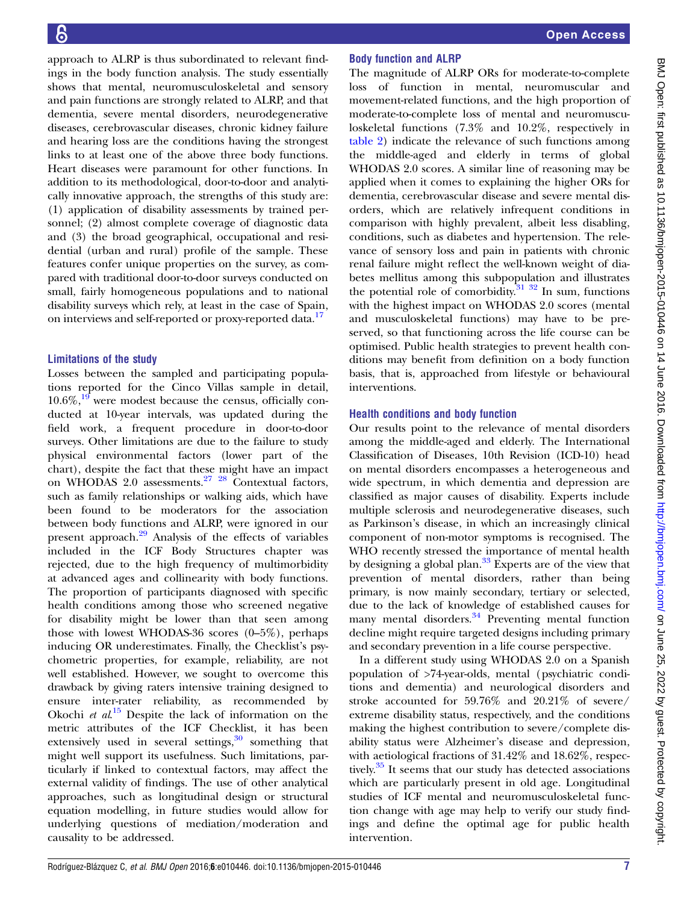approach to ALRP is thus subordinated to relevant findings in the body function analysis. The study essentially shows that mental, neuromusculoskeletal and sensory and pain functions are strongly related to ALRP, and that dementia, severe mental disorders, neurodegenerative diseases, cerebrovascular diseases, chronic kidney failure and hearing loss are the conditions having the strongest links to at least one of the above three body functions. Heart diseases were paramount for other functions. In addition to its methodological, door-to-door and analytically innovative approach, the strengths of this study are: (1) application of disability assessments by trained personnel; (2) almost complete coverage of diagnostic data and (3) the broad geographical, occupational and residential (urban and rural) profile of the sample. These features confer unique properties on the survey, as compared with traditional door-to-door surveys conducted on small, fairly homogeneous populations and to national disability surveys which rely, at least in the case of Spain, on interviews and self-reported or proxy-reported data.<sup>[17](#page-8-0)</sup>

#### Limitations of the study

Losses between the sampled and participating populations reported for the Cinco Villas sample in detail,  $10.6\%,^{19}$  $10.6\%,^{19}$  $10.6\%,^{19}$  were modest because the census, officially conducted at 10-year intervals, was updated during the field work, a frequent procedure in door-to-door surveys. Other limitations are due to the failure to study physical environmental factors (lower part of the chart), despite the fact that these might have an impact on WHODAS  $2.0$  assessments.<sup>27</sup>  $28$  Contextual factors, such as family relationships or walking aids, which have been found to be moderators for the association between body functions and ALRP, were ignored in our present approach.<sup>[29](#page-8-0)</sup> Analysis of the effects of variables included in the ICF Body Structures chapter was rejected, due to the high frequency of multimorbidity at advanced ages and collinearity with body functions. The proportion of participants diagnosed with specific health conditions among those who screened negative for disability might be lower than that seen among those with lowest WHODAS-36 scores  $(0-5\%)$ , perhaps inducing OR underestimates. Finally, the Checklist's psychometric properties, for example, reliability, are not well established. However, we sought to overcome this drawback by giving raters intensive training designed to ensure inter-rater reliability, as recommended by Okochi *et al.*<sup>[15](#page-8-0)</sup> Despite the lack of information on the metric attributes of the ICE Checklist, it has been metric attributes of the ICF Checklist, it has been extensively used in several settings, $30$  something that might well support its usefulness. Such limitations, particularly if linked to contextual factors, may affect the external validity of findings. The use of other analytical approaches, such as longitudinal design or structural equation modelling, in future studies would allow for underlying questions of mediation/moderation and causality to be addressed.

# Body function and ALRP

The magnitude of ALRP ORs for moderate-to-complete loss of function in mental, neuromuscular and movement-related functions, and the high proportion of moderate-to-complete loss of mental and neuromusculoskeletal functions (7.3% and 10.2%, respectively in [table 2\)](#page-4-0) indicate the relevance of such functions among the middle-aged and elderly in terms of global WHODAS 2.0 scores. A similar line of reasoning may be applied when it comes to explaining the higher ORs for dementia, cerebrovascular disease and severe mental disorders, which are relatively infrequent conditions in comparison with highly prevalent, albeit less disabling, conditions, such as diabetes and hypertension. The relevance of sensory loss and pain in patients with chronic renal failure might reflect the well-known weight of diabetes mellitus among this subpopulation and illustrates the potential role of comorbidity.<sup>[31 32](#page-8-0)</sup> In sum, functions with the highest impact on WHODAS 2.0 scores (mental and musculoskeletal functions) may have to be preserved, so that functioning across the life course can be optimised. Public health strategies to prevent health conditions may benefit from definition on a body function basis, that is, approached from lifestyle or behavioural interventions.

# Health conditions and body function

Our results point to the relevance of mental disorders among the middle-aged and elderly. The International Classification of Diseases, 10th Revision (ICD-10) head on mental disorders encompasses a heterogeneous and wide spectrum, in which dementia and depression are classified as major causes of disability. Experts include multiple sclerosis and neurodegenerative diseases, such as Parkinson's disease, in which an increasingly clinical component of non-motor symptoms is recognised. The WHO recently stressed the importance of mental health by designing a global plan. $33$  Experts are of the view that prevention of mental disorders, rather than being primary, is now mainly secondary, tertiary or selected, due to the lack of knowledge of established causes for many mental disorders.<sup>[34](#page-8-0)</sup> Preventing mental function decline might require targeted designs including primary and secondary prevention in a life course perspective.

In a different study using WHODAS 2.0 on a Spanish population of >74-year-olds, mental (psychiatric conditions and dementia) and neurological disorders and stroke accounted for 59.76% and 20.21% of severe/ extreme disability status, respectively, and the conditions making the highest contribution to severe/complete disability status were Alzheimer's disease and depression, with aetiological fractions of 31.42% and 18.62%, respectively.<sup>35</sup> It seems that our study has detected associations which are particularly present in old age. Longitudinal studies of ICF mental and neuromusculoskeletal function change with age may help to verify our study findings and define the optimal age for public health intervention.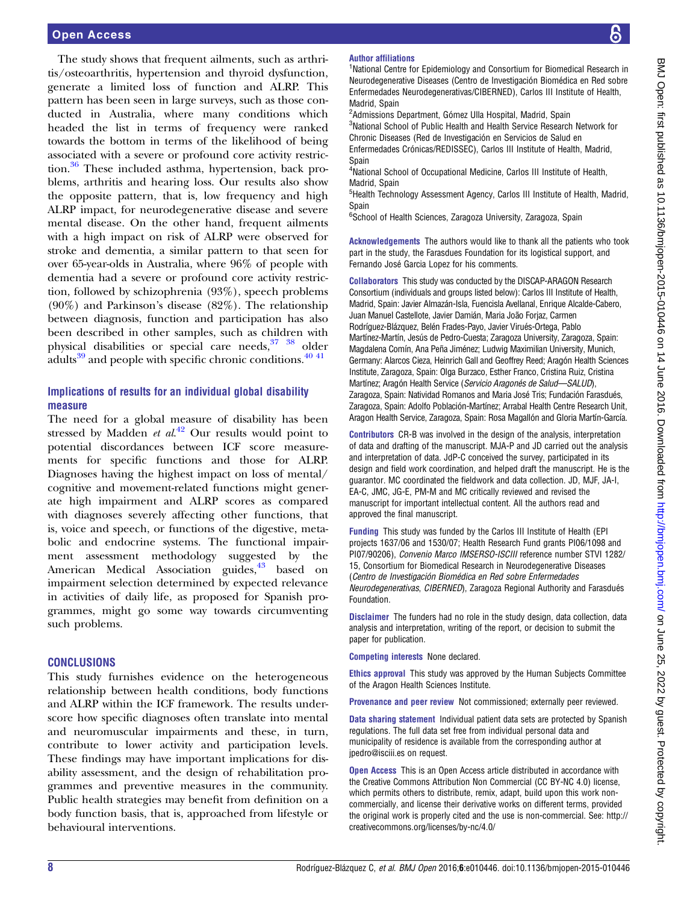The study shows that frequent ailments, such as arthritis/osteoarthritis, hypertension and thyroid dysfunction, generate a limited loss of function and ALRP. This pattern has been seen in large surveys, such as those conducted in Australia, where many conditions which headed the list in terms of frequency were ranked towards the bottom in terms of the likelihood of being associated with a severe or profound core activity restric-tion.<sup>[36](#page-8-0)</sup> These included asthma, hypertension, back problems, arthritis and hearing loss. Our results also show the opposite pattern, that is, low frequency and high ALRP impact, for neurodegenerative disease and severe mental disease. On the other hand, frequent ailments with a high impact on risk of ALRP were observed for stroke and dementia, a similar pattern to that seen for over 65-year-olds in Australia, where 96% of people with dementia had a severe or profound core activity restriction, followed by schizophrenia (93%), speech problems (90%) and Parkinson's disease (82%). The relationship between diagnosis, function and participation has also been described in other samples, such as children with physical disabilities or special care needs, [37 38](#page-8-0) older adults<sup>[39](#page-8-0)</sup> and people with specific chronic conditions.<sup>40 41</sup>

# Implications of results for an individual global disability measure

The need for a global measure of disability has been stressed by Madden *et al.*<sup>[42](#page-8-0)</sup> Our results would point to notential discordances between  $ICF$  score, measurepotential discordances between ICF score measurements for specific functions and those for ALRP. Diagnoses having the highest impact on loss of mental/ cognitive and movement-related functions might generate high impairment and ALRP scores as compared with diagnoses severely affecting other functions, that is, voice and speech, or functions of the digestive, metabolic and endocrine systems. The functional impairment assessment methodology suggested by the American Medical Association guides,<sup>[43](#page-8-0)</sup> based on impairment selection determined by expected relevance in activities of daily life, as proposed for Spanish programmes, might go some way towards circumventing such problems.

# **CONCLUSIONS**

This study furnishes evidence on the heterogeneous relationship between health conditions, body functions and ALRP within the ICF framework. The results underscore how specific diagnoses often translate into mental and neuromuscular impairments and these, in turn, contribute to lower activity and participation levels. These findings may have important implications for disability assessment, and the design of rehabilitation programmes and preventive measures in the community. Public health strategies may benefit from definition on a body function basis, that is, approached from lifestyle or behavioural interventions.

#### Author affiliations

<sup>1</sup>National Centre for Epidemiology and Consortium for Biomedical Research in Neurodegenerative Diseases (Centro de Investigación Biomédica en Red sobre Enfermedades Neurodegenerativas/CIBERNED), Carlos III Institute of Health, Madrid, Spain

<sup>2</sup>Admissions Department, Gómez Ulla Hospital, Madrid, Spain <sup>3</sup>National School of Public Health and Health Service Research Network for Chronic Diseases (Red de Investigación en Servicios de Salud en Enfermedades Crónicas/REDISSEC), Carlos III Institute of Health, Madrid, Spain

<sup>4</sup>National School of Occupational Medicine, Carlos III Institute of Health, Madrid, Spain

<sup>5</sup>Health Technology Assessment Agency, Carlos III Institute of Health, Madrid, Spain

6 School of Health Sciences, Zaragoza University, Zaragoza, Spain

Acknowledgements The authors would like to thank all the patients who took part in the study, the Farasdues Foundation for its logistical support, and Fernando José Garcia Lopez for his comments.

Collaborators This study was conducted by the DISCAP-ARAGON Research Consortium (individuals and groups listed below): Carlos III Institute of Health, Madrid, Spain: Javier Almazán-Isla, Fuencisla Avellanal, Enrique Alcalde-Cabero, Juan Manuel Castellote, Javier Damián, Maria João Forjaz, Carmen Rodríguez-Blázquez, Belén Frades-Payo, Javier Virués-Ortega, Pablo Martínez-Martín, Jesús de Pedro-Cuesta; Zaragoza University, Zaragoza, Spain: Magdalena Comín, Ana Peña Jiménez; Ludwig Maximilian University, Munich, Germany: Alarcos Cieza, Heinrich Gall and Geoffrey Reed; Aragón Health Sciences Institute, Zaragoza, Spain: Olga Burzaco, Esther Franco, Cristina Ruiz, Cristina Martínez; Aragón Health Service (Servicio Aragonés de Salud—SALUD), Zaragoza, Spain: Natividad Romanos and Maria José Tris; Fundación Farasdués, Zaragoza, Spain: Adolfo Población-Martínez; Arrabal Health Centre Research Unit, Aragon Health Service, Zaragoza, Spain: Rosa Magallón and Gloria Martín-García.

Contributors CR-B was involved in the design of the analysis, interpretation of data and drafting of the manuscript. MJA-P and JD carried out the analysis and interpretation of data. JdP-C conceived the survey, participated in its design and field work coordination, and helped draft the manuscript. He is the guarantor. MC coordinated the fieldwork and data collection. JD, MJF, JA-I, EA-C, JMC, JG-E, PM-M and MC critically reviewed and revised the manuscript for important intellectual content. All the authors read and approved the final manuscript.

Funding This study was funded by the Carlos III Institute of Health (EPI projects 1637/06 and 1530/07; Health Research Fund grants PI06/1098 and PI07/90206), Convenio Marco IMSERSO-ISCIII reference number STVI 1282/ 15, Consortium for Biomedical Research in Neurodegenerative Diseases (Centro de Investigación Biomédica en Red sobre Enfermedades Neurodegenerativas, CIBERNED), Zaragoza Regional Authority and Farasdués Foundation.

Disclaimer The funders had no role in the study design, data collection, data analysis and interpretation, writing of the report, or decision to submit the paper for publication.

Competing interests None declared.

Ethics approval This study was approved by the Human Subjects Committee of the Aragon Health Sciences Institute.

Provenance and peer review Not commissioned; externally peer reviewed.

Data sharing statement Individual patient data sets are protected by Spanish regulations. The full data set free from individual personal data and municipality of residence is available from the corresponding author at jpedro@isciii.es on request.

**Open Access** This is an Open Access article distributed in accordance with the Creative Commons Attribution Non Commercial (CC BY-NC 4.0) license, which permits others to distribute, remix, adapt, build upon this work noncommercially, and license their derivative works on different terms, provided the original work is properly cited and the use is non-commercial. See: [http://](http://creativecommons.org/licenses/by-nc/4.0/) [creativecommons.org/licenses/by-nc/4.0/](http://creativecommons.org/licenses/by-nc/4.0/)